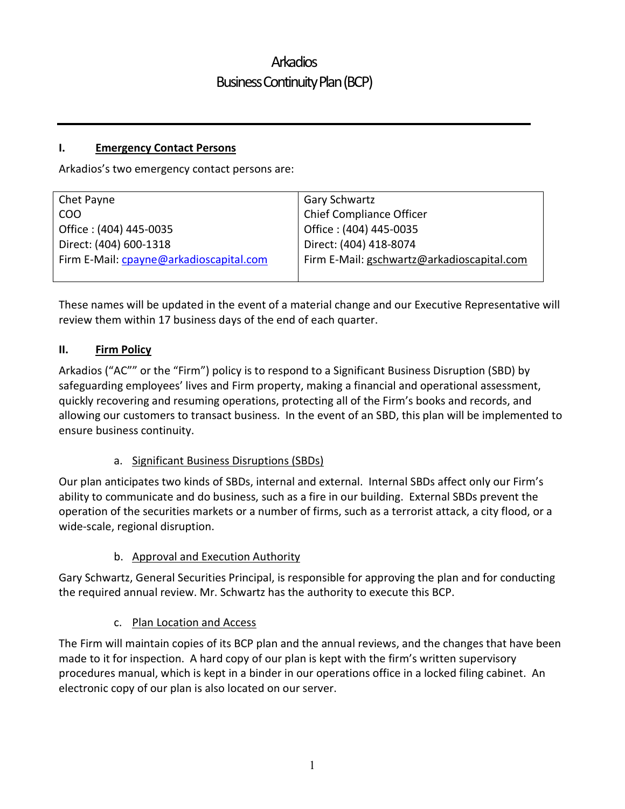#### I. Emergency Contact Persons

Arkadios's two emergency contact persons are:

| Chet Payne                              | <b>Gary Schwartz</b>                       |
|-----------------------------------------|--------------------------------------------|
| COO                                     | <b>Chief Compliance Officer</b>            |
| Office: (404) 445-0035                  | Office: (404) 445-0035                     |
| Direct: (404) 600-1318                  | Direct: (404) 418-8074                     |
| Firm E-Mail: cpayne@arkadioscapital.com | Firm E-Mail: gschwartz@arkadioscapital.com |
|                                         |                                            |

These names will be updated in the event of a material change and our Executive Representative will review them within 17 business days of the end of each quarter.

### II. Firm Policy

Arkadios ("AC"" or the "Firm") policy is to respond to a Significant Business Disruption (SBD) by safeguarding employees' lives and Firm property, making a financial and operational assessment, quickly recovering and resuming operations, protecting all of the Firm's books and records, and allowing our customers to transact business. In the event of an SBD, this plan will be implemented to ensure business continuity.

#### a. Significant Business Disruptions (SBDs)

Our plan anticipates two kinds of SBDs, internal and external. Internal SBDs affect only our Firm's ability to communicate and do business, such as a fire in our building. External SBDs prevent the operation of the securities markets or a number of firms, such as a terrorist attack, a city flood, or a wide-scale, regional disruption.

#### b. Approval and Execution Authority

Gary Schwartz, General Securities Principal, is responsible for approving the plan and for conducting the required annual review. Mr. Schwartz has the authority to execute this BCP.

#### c. Plan Location and Access

The Firm will maintain copies of its BCP plan and the annual reviews, and the changes that have been made to it for inspection. A hard copy of our plan is kept with the firm's written supervisory procedures manual, which is kept in a binder in our operations office in a locked filing cabinet. An electronic copy of our plan is also located on our server.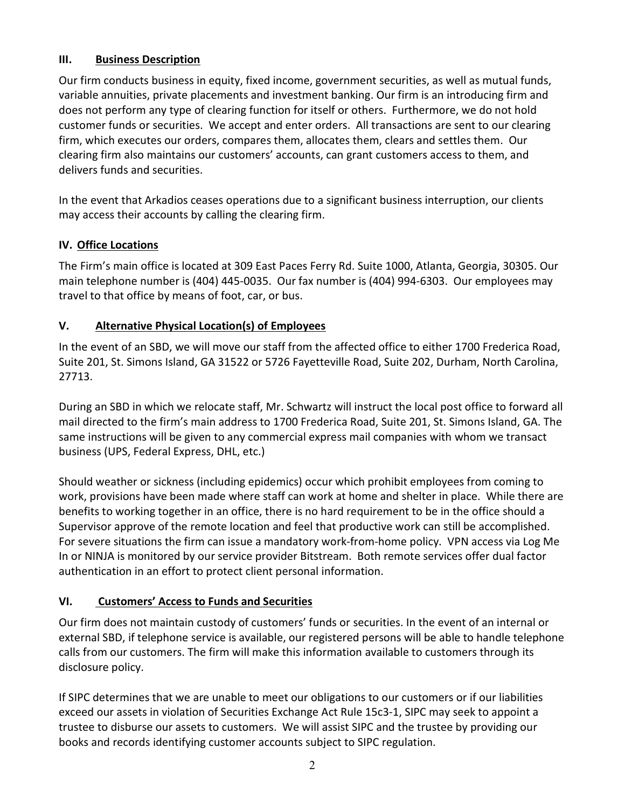### III. Business Description

Our firm conducts business in equity, fixed income, government securities, as well as mutual funds, variable annuities, private placements and investment banking. Our firm is an introducing firm and does not perform any type of clearing function for itself or others. Furthermore, we do not hold customer funds or securities. We accept and enter orders. All transactions are sent to our clearing firm, which executes our orders, compares them, allocates them, clears and settles them. Our clearing firm also maintains our customers' accounts, can grant customers access to them, and delivers funds and securities.

In the event that Arkadios ceases operations due to a significant business interruption, our clients may access their accounts by calling the clearing firm.

### IV. Office Locations

The Firm's main office is located at 309 East Paces Ferry Rd. Suite 1000, Atlanta, Georgia, 30305. Our main telephone number is (404) 445-0035. Our fax number is (404) 994-6303. Our employees may travel to that office by means of foot, car, or bus.

### V. Alternative Physical Location(s) of Employees

In the event of an SBD, we will move our staff from the affected office to either 1700 Frederica Road, Suite 201, St. Simons Island, GA 31522 or 5726 Fayetteville Road, Suite 202, Durham, North Carolina, 27713.

During an SBD in which we relocate staff, Mr. Schwartz will instruct the local post office to forward all mail directed to the firm's main address to 1700 Frederica Road, Suite 201, St. Simons Island, GA. The same instructions will be given to any commercial express mail companies with whom we transact business (UPS, Federal Express, DHL, etc.)

Should weather or sickness (including epidemics) occur which prohibit employees from coming to work, provisions have been made where staff can work at home and shelter in place. While there are benefits to working together in an office, there is no hard requirement to be in the office should a Supervisor approve of the remote location and feel that productive work can still be accomplished. For severe situations the firm can issue a mandatory work-from-home policy. VPN access via Log Me In or NINJA is monitored by our service provider Bitstream. Both remote services offer dual factor authentication in an effort to protect client personal information.

### VI. Customers' Access to Funds and Securities

Our firm does not maintain custody of customers' funds or securities. In the event of an internal or external SBD, if telephone service is available, our registered persons will be able to handle telephone calls from our customers. The firm will make this information available to customers through its disclosure policy.

If SIPC determines that we are unable to meet our obligations to our customers or if our liabilities exceed our assets in violation of Securities Exchange Act Rule 15c3-1, SIPC may seek to appoint a trustee to disburse our assets to customers. We will assist SIPC and the trustee by providing our books and records identifying customer accounts subject to SIPC regulation.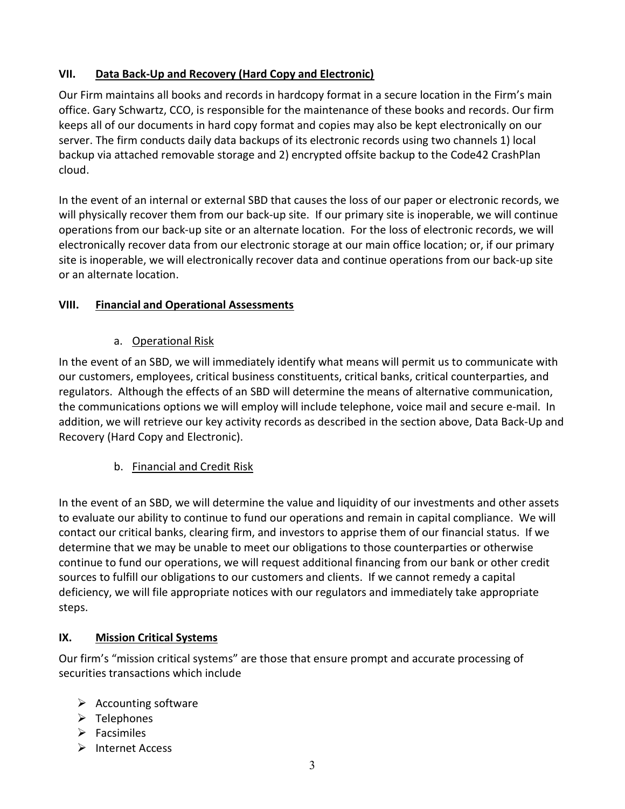### VII. Data Back-Up and Recovery (Hard Copy and Electronic)

Our Firm maintains all books and records in hardcopy format in a secure location in the Firm's main office. Gary Schwartz, CCO, is responsible for the maintenance of these books and records. Our firm keeps all of our documents in hard copy format and copies may also be kept electronically on our server. The firm conducts daily data backups of its electronic records using two channels 1) local backup via attached removable storage and 2) encrypted offsite backup to the Code42 CrashPlan cloud.

In the event of an internal or external SBD that causes the loss of our paper or electronic records, we will physically recover them from our back-up site. If our primary site is inoperable, we will continue operations from our back-up site or an alternate location. For the loss of electronic records, we will electronically recover data from our electronic storage at our main office location; or, if our primary site is inoperable, we will electronically recover data and continue operations from our back-up site or an alternate location.

### VIII. Financial and Operational Assessments

### a. Operational Risk

In the event of an SBD, we will immediately identify what means will permit us to communicate with our customers, employees, critical business constituents, critical banks, critical counterparties, and regulators. Although the effects of an SBD will determine the means of alternative communication, the communications options we will employ will include telephone, voice mail and secure e-mail. In addition, we will retrieve our key activity records as described in the section above, Data Back-Up and Recovery (Hard Copy and Electronic).

# b. Financial and Credit Risk

In the event of an SBD, we will determine the value and liquidity of our investments and other assets to evaluate our ability to continue to fund our operations and remain in capital compliance. We will contact our critical banks, clearing firm, and investors to apprise them of our financial status. If we determine that we may be unable to meet our obligations to those counterparties or otherwise continue to fund our operations, we will request additional financing from our bank or other credit sources to fulfill our obligations to our customers and clients. If we cannot remedy a capital deficiency, we will file appropriate notices with our regulators and immediately take appropriate steps.

### IX. Mission Critical Systems

Our firm's "mission critical systems" are those that ensure prompt and accurate processing of securities transactions which include

- $\triangleright$  Accounting software
- $\triangleright$  Telephones
- $\triangleright$  Facsimiles
- $\triangleright$  Internet Access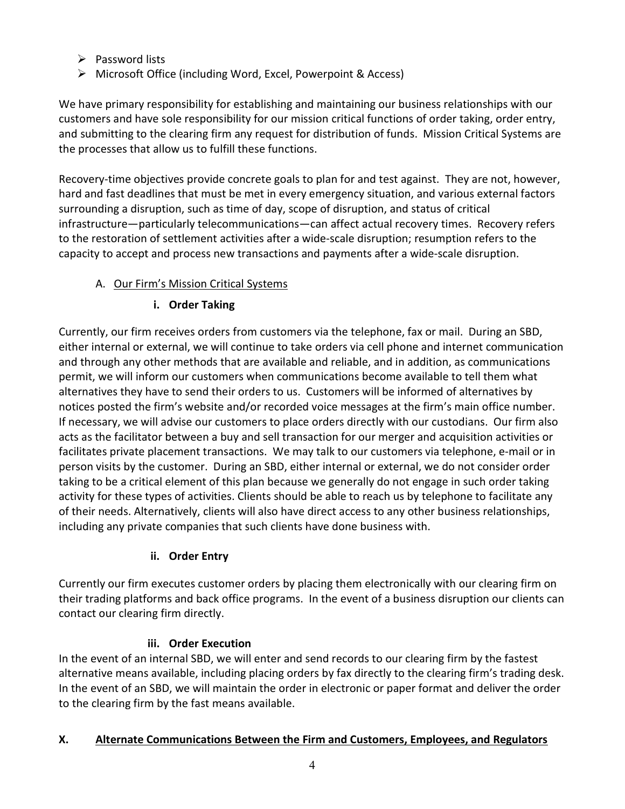- $\triangleright$  Password lists
- Microsoft Office (including Word, Excel, Powerpoint & Access)

We have primary responsibility for establishing and maintaining our business relationships with our customers and have sole responsibility for our mission critical functions of order taking, order entry, and submitting to the clearing firm any request for distribution of funds. Mission Critical Systems are the processes that allow us to fulfill these functions.

Recovery-time objectives provide concrete goals to plan for and test against. They are not, however, hard and fast deadlines that must be met in every emergency situation, and various external factors surrounding a disruption, such as time of day, scope of disruption, and status of critical infrastructure—particularly telecommunications—can affect actual recovery times. Recovery refers to the restoration of settlement activities after a wide-scale disruption; resumption refers to the capacity to accept and process new transactions and payments after a wide-scale disruption.

# A. Our Firm's Mission Critical Systems

# i. Order Taking

Currently, our firm receives orders from customers via the telephone, fax or mail. During an SBD, either internal or external, we will continue to take orders via cell phone and internet communication and through any other methods that are available and reliable, and in addition, as communications permit, we will inform our customers when communications become available to tell them what alternatives they have to send their orders to us. Customers will be informed of alternatives by notices posted the firm's website and/or recorded voice messages at the firm's main office number. If necessary, we will advise our customers to place orders directly with our custodians. Our firm also acts as the facilitator between a buy and sell transaction for our merger and acquisition activities or facilitates private placement transactions. We may talk to our customers via telephone, e-mail or in person visits by the customer. During an SBD, either internal or external, we do not consider order taking to be a critical element of this plan because we generally do not engage in such order taking activity for these types of activities. Clients should be able to reach us by telephone to facilitate any of their needs. Alternatively, clients will also have direct access to any other business relationships, including any private companies that such clients have done business with.

# ii. Order Entry

Currently our firm executes customer orders by placing them electronically with our clearing firm on their trading platforms and back office programs. In the event of a business disruption our clients can contact our clearing firm directly.

# iii. Order Execution

In the event of an internal SBD, we will enter and send records to our clearing firm by the fastest alternative means available, including placing orders by fax directly to the clearing firm's trading desk. In the event of an SBD, we will maintain the order in electronic or paper format and deliver the order to the clearing firm by the fast means available.

# X. Alternate Communications Between the Firm and Customers, Employees, and Regulators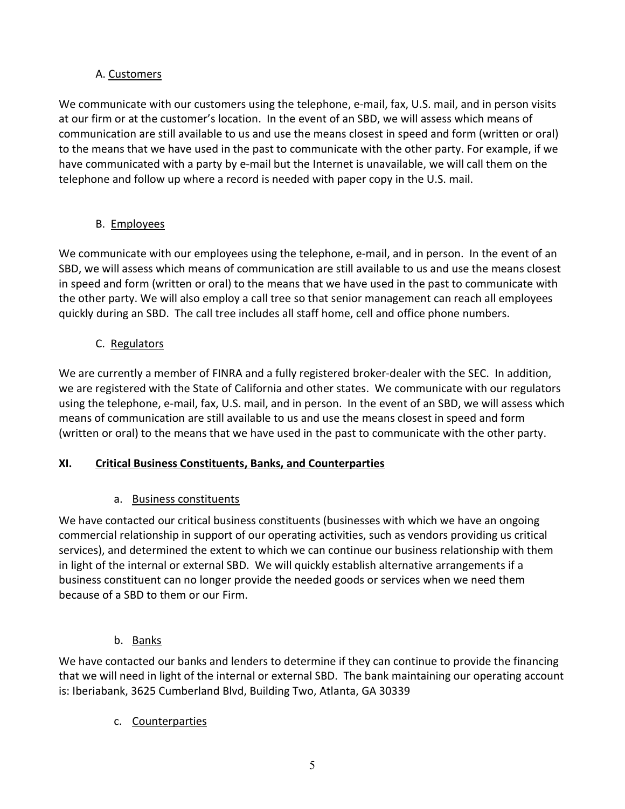### A. Customers

We communicate with our customers using the telephone, e-mail, fax, U.S. mail, and in person visits at our firm or at the customer's location. In the event of an SBD, we will assess which means of communication are still available to us and use the means closest in speed and form (written or oral) to the means that we have used in the past to communicate with the other party. For example, if we have communicated with a party by e-mail but the Internet is unavailable, we will call them on the telephone and follow up where a record is needed with paper copy in the U.S. mail.

# B. Employees

We communicate with our employees using the telephone, e-mail, and in person. In the event of an SBD, we will assess which means of communication are still available to us and use the means closest in speed and form (written or oral) to the means that we have used in the past to communicate with the other party. We will also employ a call tree so that senior management can reach all employees quickly during an SBD. The call tree includes all staff home, cell and office phone numbers.

# C. Regulators

We are currently a member of FINRA and a fully registered broker-dealer with the SEC. In addition, we are registered with the State of California and other states. We communicate with our regulators using the telephone, e-mail, fax, U.S. mail, and in person. In the event of an SBD, we will assess which means of communication are still available to us and use the means closest in speed and form (written or oral) to the means that we have used in the past to communicate with the other party.

# XI. Critical Business Constituents, Banks, and Counterparties

# a. Business constituents

We have contacted our critical business constituents (businesses with which we have an ongoing commercial relationship in support of our operating activities, such as vendors providing us critical services), and determined the extent to which we can continue our business relationship with them in light of the internal or external SBD. We will quickly establish alternative arrangements if a business constituent can no longer provide the needed goods or services when we need them because of a SBD to them or our Firm.

b. Banks

We have contacted our banks and lenders to determine if they can continue to provide the financing that we will need in light of the internal or external SBD. The bank maintaining our operating account is: Iberiabank, 3625 Cumberland Blvd, Building Two, Atlanta, GA 30339

# c. Counterparties